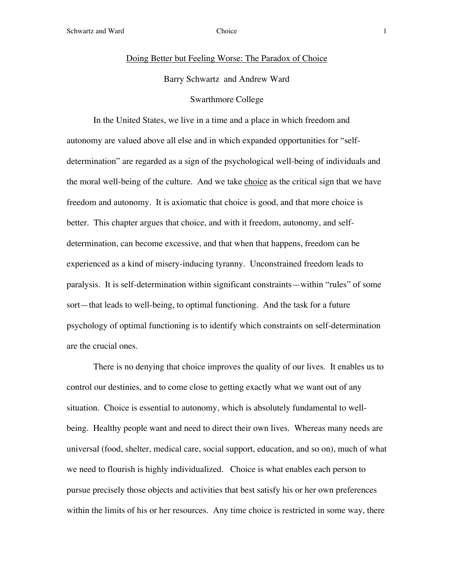## Doing Better but Feeling Worse: The Paradox of Choice

Barry Schwartz and Andrew Ward

### Swarthmore College

In the United States, we live in a time and a place in which freedom and autonomy are valued above all else and in which expanded opportunities for "selfdetermination" are regarded as a sign of the psychological well-being of individuals and the moral well-being of the culture. And we take choice as the critical sign that we have freedom and autonomy. It is axiomatic that choice is good, and that more choice is better. This chapter argues that choice, and with it freedom, autonomy, and selfdetermination, can become excessive, and that when that happens, freedom can be experienced as a kind of misery-inducing tyranny. Unconstrained freedom leads to paralysis. It is self-determination within significant constraints—within "rules" of some sort—that leads to well-being, to optimal functioning. And the task for a future psychology of optimal functioning is to identify which constraints on self-determination are the crucial ones.

There is no denying that choice improves the quality of our lives. It enables us to control our destinies, and to come close to getting exactly what we want out of any situation. Choice is essential to autonomy, which is absolutely fundamental to wellbeing. Healthy people want and need to direct their own lives. Whereas many needs are universal (food, shelter, medical care, social support, education, and so on), much of what we need to flourish is highly individualized. Choice is what enables each person to pursue precisely those objects and activities that best satisfy his or her own preferences within the limits of his or her resources. Any time choice is restricted in some way, there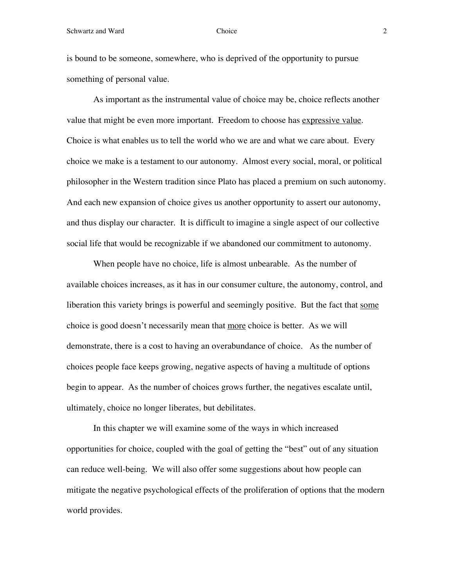Schwartz and Ward 2

is bound to be someone, somewhere, who is deprived of the opportunity to pursue something of personal value.

As important as the instrumental value of choice may be, choice reflects another value that might be even more important. Freedom to choose has expressive value. Choice is what enables us to tell the world who we are and what we care about. Every choice we make is a testament to our autonomy. Almost every social, moral, or political philosopher in the Western tradition since Plato has placed a premium on such autonomy. And each new expansion of choice gives us another opportunity to assert our autonomy, and thus display our character. It is difficult to imagine a single aspect of our collective social life that would be recognizable if we abandoned our commitment to autonomy.

When people have no choice, life is almost unbearable. As the number of available choices increases, as it has in our consumer culture, the autonomy, control, and liberation this variety brings is powerful and seemingly positive. But the fact that some choice is good doesn't necessarily mean that more choice is better. As we will demonstrate, there is a cost to having an overabundance of choice. As the number of choices people face keeps growing, negative aspects of having a multitude of options begin to appear. As the number of choices grows further, the negatives escalate until, ultimately, choice no longer liberates, but debilitates.

In this chapter we will examine some of the ways in which increased opportunities for choice, coupled with the goal of getting the "best" out of any situation can reduce well-being. We will also offer some suggestions about how people can mitigate the negative psychological effects of the proliferation of options that the modern world provides.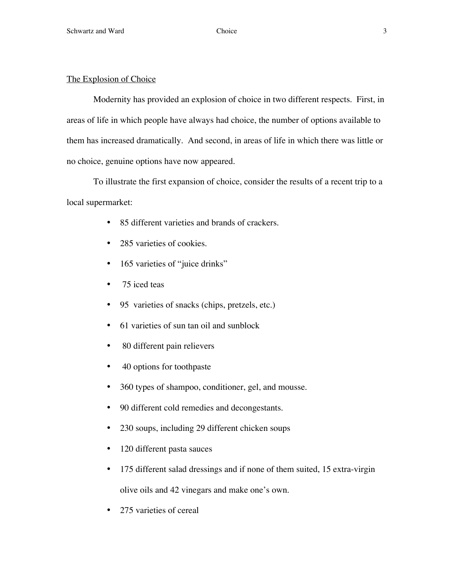## The Explosion of Choice

Modernity has provided an explosion of choice in two different respects. First, in areas of life in which people have always had choice, the number of options available to them has increased dramatically. And second, in areas of life in which there was little or no choice, genuine options have now appeared.

To illustrate the first expansion of choice, consider the results of a recent trip to a local supermarket:

- 85 different varieties and brands of crackers.
- 285 varieties of cookies.
- 165 varieties of "juice drinks"
- 75 iced teas
- 95 varieties of snacks (chips, pretzels, etc.)
- 61 varieties of sun tan oil and sunblock
- 80 different pain relievers
- 40 options for toothpaste
- 360 types of shampoo, conditioner, gel, and mousse.
- 90 different cold remedies and decongestants.
- 230 soups, including 29 different chicken soups
- 120 different pasta sauces
- 175 different salad dressings and if none of them suited, 15 extra-virgin
- olive oils and 42 vinegars and make one's own.
- 275 varieties of cereal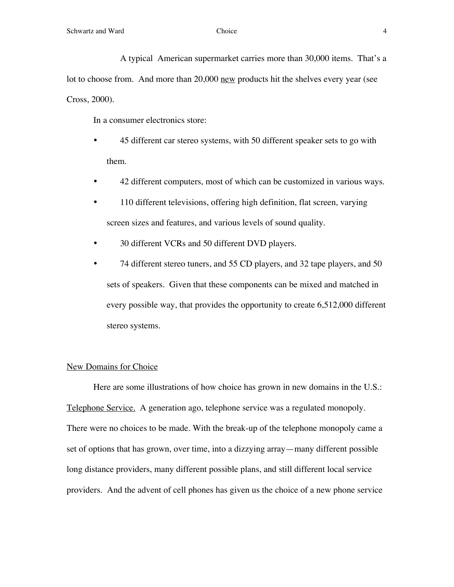A typical American supermarket carries more than 30,000 items. That's a lot to choose from. And more than 20,000 new products hit the shelves every year (see Cross, 2000).

In a consumer electronics store:

45 different car stereo systems, with 50 different speaker sets to go with them.

42 different computers, most of which can be customized in various ways.

110 different televisions, offering high definition, flat screen, varying screen sizes and features, and various levels of sound quality.

30 different VCRs and 50 different DVD players.

74 different stereo tuners, and 55 CD players, and 32 tape players, and 50 sets of speakers. Given that these components can be mixed and matched in every possible way, that provides the opportunity to create 6,512,000 different stereo systems.

### New Domains for Choice

Here are some illustrations of how choice has grown in new domains in the U.S.: Telephone Service. A generation ago, telephone service was a regulated monopoly. There were no choices to be made. With the break-up of the telephone monopoly came a set of options that has grown, over time, into a dizzying array—many different possible long distance providers, many different possible plans, and still different local service providers. And the advent of cell phones has given us the choice of a new phone service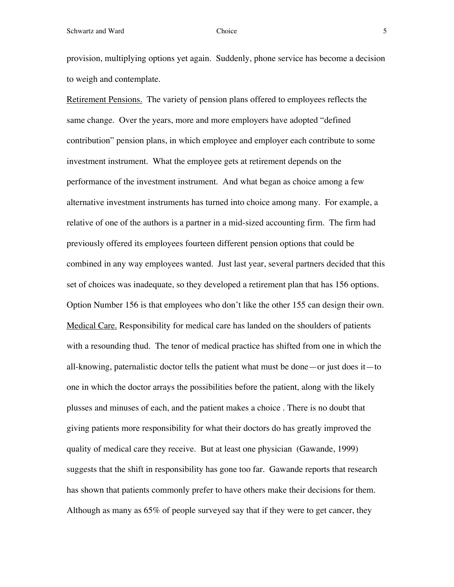Schwartz and Ward **Schwartz** and Ward **S** Choice **5** 5

provision, multiplying options yet again. Suddenly, phone service has become a decision to weigh and contemplate.

Retirement Pensions. The variety of pension plans offered to employees reflects the same change. Over the years, more and more employers have adopted "defined contribution" pension plans, in which employee and employer each contribute to some investment instrument. What the employee gets at retirement depends on the performance of the investment instrument. And what began as choice among a few alternative investment instruments has turned into choice among many. For example, a relative of one of the authors is a partner in a mid-sized accounting firm. The firm had previously offered its employees fourteen different pension options that could be combined in any way employees wanted. Just last year, several partners decided that this set of choices was inadequate, so they developed a retirement plan that has 156 options. Option Number 156 is that employees who don't like the other 155 can design their own. Medical Care. Responsibility for medical care has landed on the shoulders of patients with a resounding thud. The tenor of medical practice has shifted from one in which the all-knowing, paternalistic doctor tells the patient what must be done—or just does it—to one in which the doctor arrays the possibilities before the patient, along with the likely plusses and minuses of each, and the patient makes a choice . There is no doubt that giving patients more responsibility for what their doctors do has greatly improved the quality of medical care they receive. But at least one physician (Gawande, 1999) suggests that the shift in responsibility has gone too far. Gawande reports that research has shown that patients commonly prefer to have others make their decisions for them. Although as many as 65% of people surveyed say that if they were to get cancer, they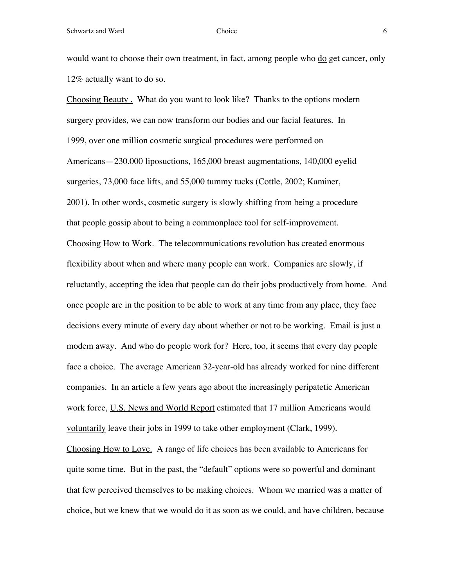would want to choose their own treatment, in fact, among people who do get cancer, only 12% actually want to do so.

Choosing Beauty . What do you want to look like? Thanks to the options modern surgery provides, we can now transform our bodies and our facial features. In 1999, over one million cosmetic surgical procedures were performed on Americans—230,000 liposuctions, 165,000 breast augmentations, 140,000 eyelid surgeries, 73,000 face lifts, and 55,000 tummy tucks (Cottle, 2002; Kaminer, 2001). In other words, cosmetic surgery is slowly shifting from being a procedure that people gossip about to being a commonplace tool for self-improvement. Choosing How to Work. The telecommunications revolution has created enormous flexibility about when and where many people can work. Companies are slowly, if reluctantly, accepting the idea that people can do their jobs productively from home. And once people are in the position to be able to work at any time from any place, they face decisions every minute of every day about whether or not to be working. Email is just a modem away. And who do people work for? Here, too, it seems that every day people face a choice. The average American 32-year-old has already worked for nine different companies. In an article a few years ago about the increasingly peripatetic American work force, U.S. News and World Report estimated that 17 million Americans would voluntarily leave their jobs in 1999 to take other employment (Clark, 1999). Choosing How to Love. A range of life choices has been available to Americans for quite some time. But in the past, the "default" options were so powerful and dominant that few perceived themselves to be making choices. Whom we married was a matter of choice, but we knew that we would do it as soon as we could, and have children, because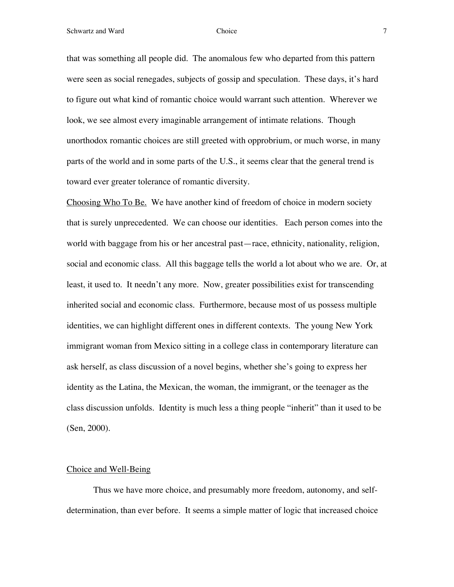Schwartz and Ward **Choice Choice** 7

that was something all people did. The anomalous few who departed from this pattern were seen as social renegades, subjects of gossip and speculation. These days, it's hard to figure out what kind of romantic choice would warrant such attention. Wherever we look, we see almost every imaginable arrangement of intimate relations. Though unorthodox romantic choices are still greeted with opprobrium, or much worse, in many parts of the world and in some parts of the U.S., it seems clear that the general trend is toward ever greater tolerance of romantic diversity.

Choosing Who To Be. We have another kind of freedom of choice in modern society that is surely unprecedented. We can choose our identities. Each person comes into the world with baggage from his or her ancestral past—race, ethnicity, nationality, religion, social and economic class. All this baggage tells the world a lot about who we are. Or, at least, it used to. It needn't any more. Now, greater possibilities exist for transcending inherited social and economic class. Furthermore, because most of us possess multiple identities, we can highlight different ones in different contexts. The young New York immigrant woman from Mexico sitting in a college class in contemporary literature can ask herself, as class discussion of a novel begins, whether she's going to express her identity as the Latina, the Mexican, the woman, the immigrant, or the teenager as the class discussion unfolds. Identity is much less a thing people "inherit" than it used to be (Sen, 2000).

### Choice and Well-Being

Thus we have more choice, and presumably more freedom, autonomy, and selfdetermination, than ever before. It seems a simple matter of logic that increased choice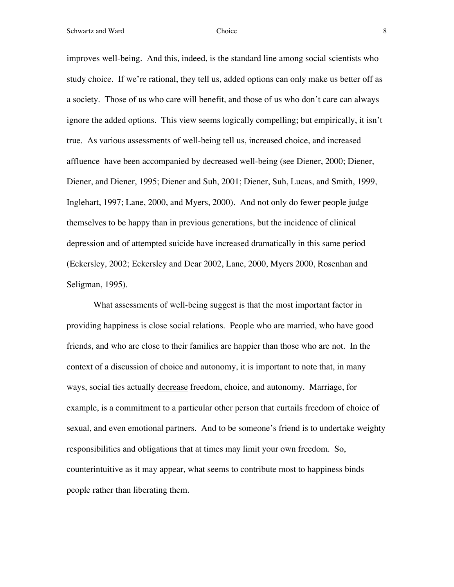Schwartz and Ward **8 Schwartz** and Ward **8 8** 

improves well-being. And this, indeed, is the standard line among social scientists who study choice. If we're rational, they tell us, added options can only make us better off as a society. Those of us who care will benefit, and those of us who don't care can always ignore the added options. This view seems logically compelling; but empirically, it isn't true. As various assessments of well-being tell us, increased choice, and increased affluence have been accompanied by decreased well-being (see Diener, 2000; Diener, Diener, and Diener, 1995; Diener and Suh, 2001; Diener, Suh, Lucas, and Smith, 1999, Inglehart, 1997; Lane, 2000, and Myers, 2000). And not only do fewer people judge themselves to be happy than in previous generations, but the incidence of clinical depression and of attempted suicide have increased dramatically in this same period (Eckersley, 2002; Eckersley and Dear 2002, Lane, 2000, Myers 2000, Rosenhan and Seligman, 1995).

What assessments of well-being suggest is that the most important factor in providing happiness is close social relations. People who are married, who have good friends, and who are close to their families are happier than those who are not. In the context of a discussion of choice and autonomy, it is important to note that, in many ways, social ties actually decrease freedom, choice, and autonomy. Marriage, for example, is a commitment to a particular other person that curtails freedom of choice of sexual, and even emotional partners. And to be someone's friend is to undertake weighty responsibilities and obligations that at times may limit your own freedom. So, counterintuitive as it may appear, what seems to contribute most to happiness binds people rather than liberating them.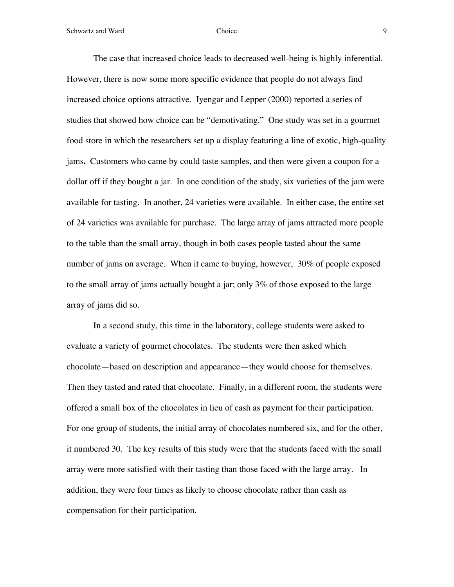The case that increased choice leads to decreased well-being is highly inferential. However, there is now some more specific evidence that people do not always find increased choice options attractive. Iyengar and Lepper (2000) reported a series of studies that showed how choice can be "demotivating." One study was set in a gourmet food store in which the researchers set up a display featuring a line of exotic, high-quality jams**.** Customers who came by could taste samples, and then were given a coupon for a dollar off if they bought a jar. In one condition of the study, six varieties of the jam were available for tasting. In another, 24 varieties were available. In either case, the entire set of 24 varieties was available for purchase. The large array of jams attracted more people to the table than the small array, though in both cases people tasted about the same number of jams on average. When it came to buying, however, 30% of people exposed to the small array of jams actually bought a jar; only 3% of those exposed to the large array of jams did so.

In a second study, this time in the laboratory, college students were asked to evaluate a variety of gourmet chocolates. The students were then asked which chocolate—based on description and appearance—they would choose for themselves. Then they tasted and rated that chocolate. Finally, in a different room, the students were offered a small box of the chocolates in lieu of cash as payment for their participation. For one group of students, the initial array of chocolates numbered six, and for the other, it numbered 30. The key results of this study were that the students faced with the small array were more satisfied with their tasting than those faced with the large array. In addition, they were four times as likely to choose chocolate rather than cash as compensation for their participation.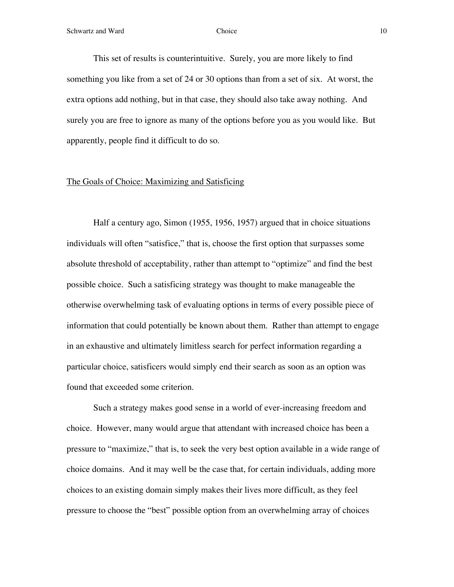This set of results is counterintuitive. Surely, you are more likely to find something you like from a set of 24 or 30 options than from a set of six. At worst, the extra options add nothing, but in that case, they should also take away nothing. And surely you are free to ignore as many of the options before you as you would like. But apparently, people find it difficult to do so.

### The Goals of Choice: Maximizing and Satisficing

Half a century ago, Simon (1955, 1956, 1957) argued that in choice situations individuals will often "satisfice," that is, choose the first option that surpasses some absolute threshold of acceptability, rather than attempt to "optimize" and find the best possible choice. Such a satisficing strategy was thought to make manageable the otherwise overwhelming task of evaluating options in terms of every possible piece of information that could potentially be known about them. Rather than attempt to engage in an exhaustive and ultimately limitless search for perfect information regarding a particular choice, satisficers would simply end their search as soon as an option was found that exceeded some criterion.

Such a strategy makes good sense in a world of ever-increasing freedom and choice. However, many would argue that attendant with increased choice has been a pressure to "maximize," that is, to seek the very best option available in a wide range of choice domains. And it may well be the case that, for certain individuals, adding more choices to an existing domain simply makes their lives more difficult, as they feel pressure to choose the "best" possible option from an overwhelming array of choices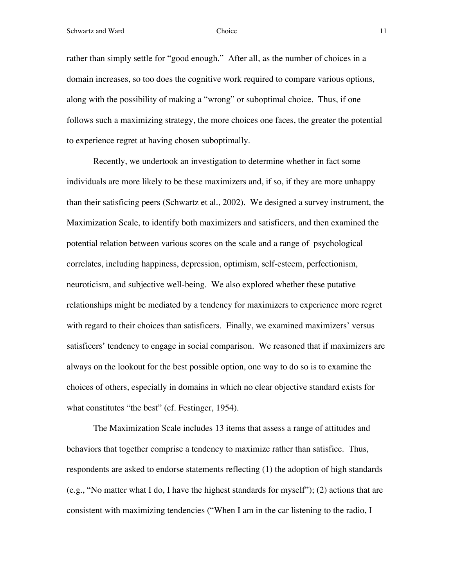Schwartz and Ward **Choice Choice Choice Choice 11** 

rather than simply settle for "good enough." After all, as the number of choices in a domain increases, so too does the cognitive work required to compare various options, along with the possibility of making a "wrong" or suboptimal choice. Thus, if one follows such a maximizing strategy, the more choices one faces, the greater the potential to experience regret at having chosen suboptimally.

Recently, we undertook an investigation to determine whether in fact some individuals are more likely to be these maximizers and, if so, if they are more unhappy than their satisficing peers (Schwartz et al., 2002). We designed a survey instrument, the Maximization Scale, to identify both maximizers and satisficers, and then examined the potential relation between various scores on the scale and a range of psychological correlates, including happiness, depression, optimism, self-esteem, perfectionism, neuroticism, and subjective well-being. We also explored whether these putative relationships might be mediated by a tendency for maximizers to experience more regret with regard to their choices than satisficers. Finally, we examined maximizers' versus satisficers' tendency to engage in social comparison. We reasoned that if maximizers are always on the lookout for the best possible option, one way to do so is to examine the choices of others, especially in domains in which no clear objective standard exists for what constitutes "the best" (cf. Festinger, 1954).

The Maximization Scale includes 13 items that assess a range of attitudes and behaviors that together comprise a tendency to maximize rather than satisfice. Thus, respondents are asked to endorse statements reflecting (1) the adoption of high standards (e.g., "No matter what I do, I have the highest standards for myself"); (2) actions that are consistent with maximizing tendencies ("When I am in the car listening to the radio, I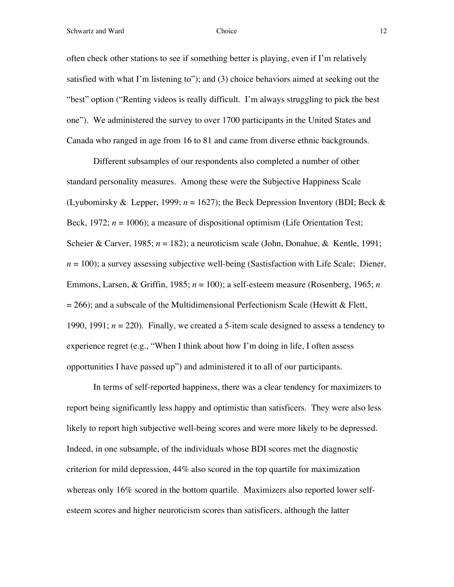often check other stations to see if something better is playing, even if I'm relatively satisfied with what I'm listening to"); and (3) choice behaviors aimed at seeking out the "best" option ("Renting videos is really difficult. I'm always struggling to pick the best one"). We administered the survey to over 1700 participants in the United States and Canada who ranged in age from 16 to 81 and came from diverse ethnic backgrounds.

Different subsamples of our respondents also completed a number of other standard personality measures. Among these were the Subjective Happiness Scale (Lyubomirsky & Lepper, 1999; *n* = 1627); the Beck Depression Inventory (BDI; Beck & Beck,  $1972$ ;  $n = 1006$ ); a measure of dispositional optimism (Life Orientation Test; Scheier & Carver, 1985; *n* = 182); a neuroticism scale (John, Donahue, & Kentle, 1991; *n* = 100); a survey assessing subjective well-being (Sastisfaction with Life Scale; Diener, Emmons, Larsen, & Griffin, 1985; *n* = 100); a self-esteem measure (Rosenberg, 1965; *n*  $= 266$ ); and a subscale of the Multidimensional Perfectionism Scale (Hewitt & Flett, 1990, 1991; *n* = 220). Finally, we created a 5-item scale designed to assess a tendency to experience regret (e.g., "When I think about how I'm doing in life, I often assess opportunities I have passed up") and administered it to all of our participants.

In terms of self-reported happiness, there was a clear tendency for maximizers to report being significantly less happy and optimistic than satisficers. They were also less likely to report high subjective well-being scores and were more likely to be depressed. Indeed, in one subsample, of the individuals whose BDI scores met the diagnostic criterion for mild depression, 44% also scored in the top quartile for maximization whereas only 16% scored in the bottom quartile. Maximizers also reported lower selfesteem scores and higher neuroticism scores than satisficers, although the latter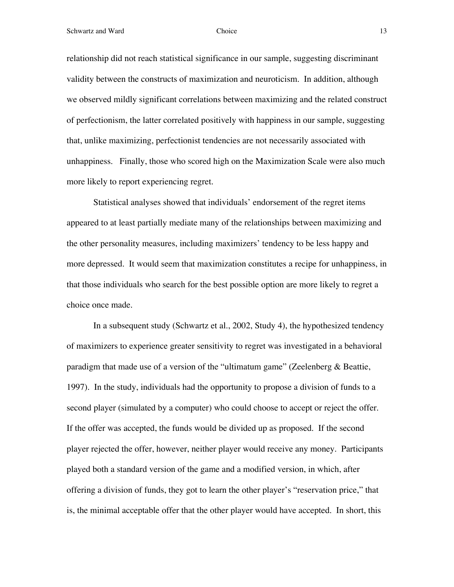relationship did not reach statistical significance in our sample, suggesting discriminant validity between the constructs of maximization and neuroticism. In addition, although we observed mildly significant correlations between maximizing and the related construct of perfectionism, the latter correlated positively with happiness in our sample, suggesting that, unlike maximizing, perfectionist tendencies are not necessarily associated with unhappiness. Finally, those who scored high on the Maximization Scale were also much more likely to report experiencing regret.

Statistical analyses showed that individuals' endorsement of the regret items appeared to at least partially mediate many of the relationships between maximizing and the other personality measures, including maximizers' tendency to be less happy and more depressed. It would seem that maximization constitutes a recipe for unhappiness, in that those individuals who search for the best possible option are more likely to regret a choice once made.

In a subsequent study (Schwartz et al., 2002, Study 4), the hypothesized tendency of maximizers to experience greater sensitivity to regret was investigated in a behavioral paradigm that made use of a version of the "ultimatum game" (Zeelenberg & Beattie, 1997). In the study, individuals had the opportunity to propose a division of funds to a second player (simulated by a computer) who could choose to accept or reject the offer. If the offer was accepted, the funds would be divided up as proposed. If the second player rejected the offer, however, neither player would receive any money. Participants played both a standard version of the game and a modified version, in which, after offering a division of funds, they got to learn the other player's "reservation price," that is, the minimal acceptable offer that the other player would have accepted. In short, this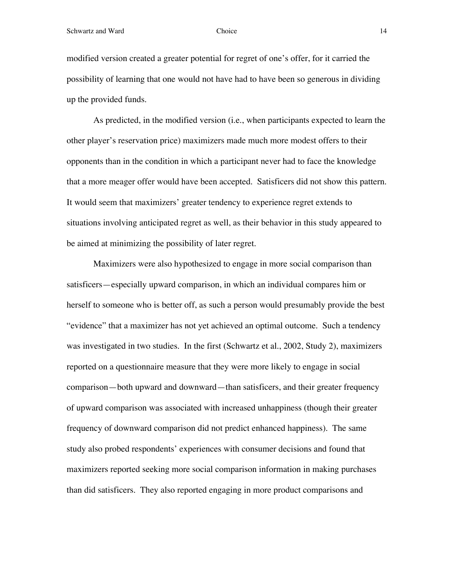modified version created a greater potential for regret of one's offer, for it carried the possibility of learning that one would not have had to have been so generous in dividing up the provided funds.

As predicted, in the modified version (i.e., when participants expected to learn the other player's reservation price) maximizers made much more modest offers to their opponents than in the condition in which a participant never had to face the knowledge that a more meager offer would have been accepted. Satisficers did not show this pattern. It would seem that maximizers' greater tendency to experience regret extends to situations involving anticipated regret as well, as their behavior in this study appeared to be aimed at minimizing the possibility of later regret.

Maximizers were also hypothesized to engage in more social comparison than satisficers—especially upward comparison, in which an individual compares him or herself to someone who is better off, as such a person would presumably provide the best "evidence" that a maximizer has not yet achieved an optimal outcome. Such a tendency was investigated in two studies. In the first (Schwartz et al., 2002, Study 2), maximizers reported on a questionnaire measure that they were more likely to engage in social comparison—both upward and downward—than satisficers, and their greater frequency of upward comparison was associated with increased unhappiness (though their greater frequency of downward comparison did not predict enhanced happiness). The same study also probed respondents' experiences with consumer decisions and found that maximizers reported seeking more social comparison information in making purchases than did satisficers. They also reported engaging in more product comparisons and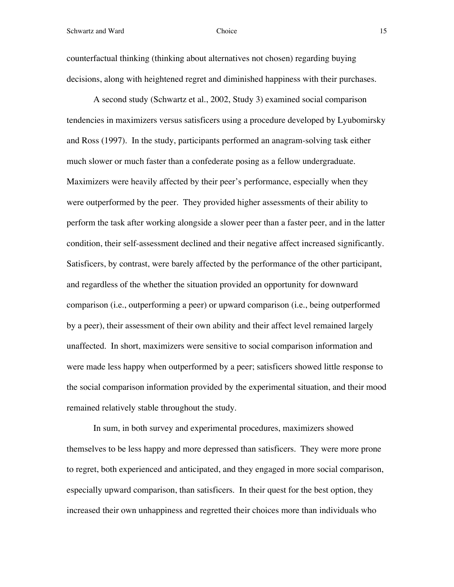Schwartz and Ward **Choice** Choice 15

counterfactual thinking (thinking about alternatives not chosen) regarding buying decisions, along with heightened regret and diminished happiness with their purchases.

A second study (Schwartz et al., 2002, Study 3) examined social comparison tendencies in maximizers versus satisficers using a procedure developed by Lyubomirsky and Ross (1997). In the study, participants performed an anagram-solving task either much slower or much faster than a confederate posing as a fellow undergraduate. Maximizers were heavily affected by their peer's performance, especially when they were outperformed by the peer. They provided higher assessments of their ability to perform the task after working alongside a slower peer than a faster peer, and in the latter condition, their self-assessment declined and their negative affect increased significantly. Satisficers, by contrast, were barely affected by the performance of the other participant, and regardless of the whether the situation provided an opportunity for downward comparison (i.e., outperforming a peer) or upward comparison (i.e., being outperformed by a peer), their assessment of their own ability and their affect level remained largely unaffected. In short, maximizers were sensitive to social comparison information and were made less happy when outperformed by a peer; satisficers showed little response to the social comparison information provided by the experimental situation, and their mood remained relatively stable throughout the study.

In sum, in both survey and experimental procedures, maximizers showed themselves to be less happy and more depressed than satisficers. They were more prone to regret, both experienced and anticipated, and they engaged in more social comparison, especially upward comparison, than satisficers. In their quest for the best option, they increased their own unhappiness and regretted their choices more than individuals who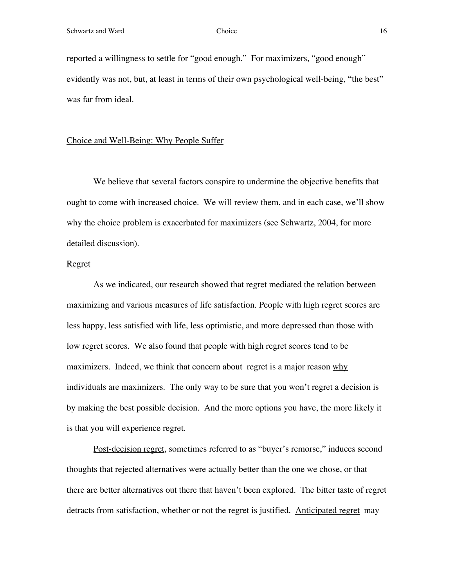reported a willingness to settle for "good enough." For maximizers, "good enough" evidently was not, but, at least in terms of their own psychological well-being, "the best" was far from ideal.

### Choice and Well-Being: Why People Suffer

We believe that several factors conspire to undermine the objective benefits that ought to come with increased choice. We will review them, and in each case, we'll show why the choice problem is exacerbated for maximizers (see Schwartz, 2004, for more detailed discussion).

### Regret

As we indicated, our research showed that regret mediated the relation between maximizing and various measures of life satisfaction. People with high regret scores are less happy, less satisfied with life, less optimistic, and more depressed than those with low regret scores. We also found that people with high regret scores tend to be maximizers. Indeed, we think that concern about regret is a major reason why individuals are maximizers. The only way to be sure that you won't regret a decision is by making the best possible decision. And the more options you have, the more likely it is that you will experience regret.

Post-decision regret, sometimes referred to as "buyer's remorse," induces second thoughts that rejected alternatives were actually better than the one we chose, or that there are better alternatives out there that haven't been explored. The bitter taste of regret detracts from satisfaction, whether or not the regret is justified. Anticipated regret may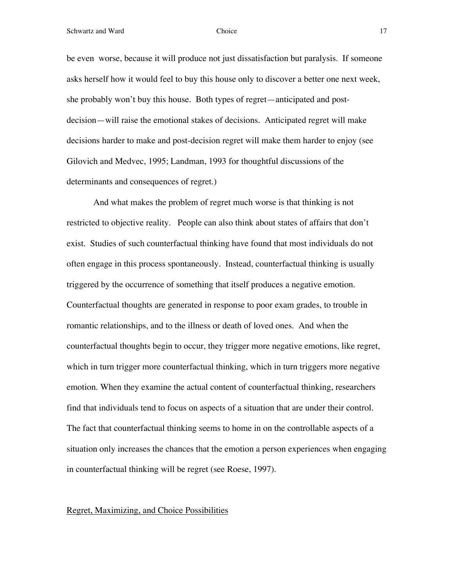Schwartz and Ward **Choice Choice Choice** 17

be even worse, because it will produce not just dissatisfaction but paralysis. If someone asks herself how it would feel to buy this house only to discover a better one next week, she probably won't buy this house. Both types of regret—anticipated and postdecision—will raise the emotional stakes of decisions. Anticipated regret will make decisions harder to make and post-decision regret will make them harder to enjoy (see Gilovich and Medvec, 1995; Landman, 1993 for thoughtful discussions of the determinants and consequences of regret.)

And what makes the problem of regret much worse is that thinking is not restricted to objective reality. People can also think about states of affairs that don't exist. Studies of such counterfactual thinking have found that most individuals do not often engage in this process spontaneously. Instead, counterfactual thinking is usually triggered by the occurrence of something that itself produces a negative emotion. Counterfactual thoughts are generated in response to poor exam grades, to trouble in romantic relationships, and to the illness or death of loved ones. And when the counterfactual thoughts begin to occur, they trigger more negative emotions, like regret, which in turn trigger more counterfactual thinking, which in turn triggers more negative emotion. When they examine the actual content of counterfactual thinking, researchers find that individuals tend to focus on aspects of a situation that are under their control. The fact that counterfactual thinking seems to home in on the controllable aspects of a situation only increases the chances that the emotion a person experiences when engaging in counterfactual thinking will be regret (see Roese, 1997).

## Regret, Maximizing, and Choice Possibilities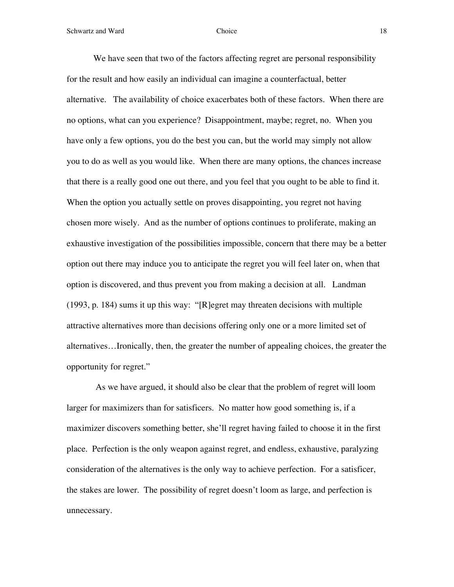We have seen that two of the factors affecting regret are personal responsibility for the result and how easily an individual can imagine a counterfactual, better alternative. The availability of choice exacerbates both of these factors. When there are no options, what can you experience? Disappointment, maybe; regret, no. When you have only a few options, you do the best you can, but the world may simply not allow you to do as well as you would like. When there are many options, the chances increase that there is a really good one out there, and you feel that you ought to be able to find it. When the option you actually settle on proves disappointing, you regret not having chosen more wisely. And as the number of options continues to proliferate, making an exhaustive investigation of the possibilities impossible, concern that there may be a better option out there may induce you to anticipate the regret you will feel later on, when that option is discovered, and thus prevent you from making a decision at all. Landman (1993, p. 184) sums it up this way: "[R]egret may threaten decisions with multiple attractive alternatives more than decisions offering only one or a more limited set of alternatives…Ironically, then, the greater the number of appealing choices, the greater the opportunity for regret."

 As we have argued, it should also be clear that the problem of regret will loom larger for maximizers than for satisficers. No matter how good something is, if a maximizer discovers something better, she'll regret having failed to choose it in the first place. Perfection is the only weapon against regret, and endless, exhaustive, paralyzing consideration of the alternatives is the only way to achieve perfection. For a satisficer, the stakes are lower. The possibility of regret doesn't loom as large, and perfection is unnecessary.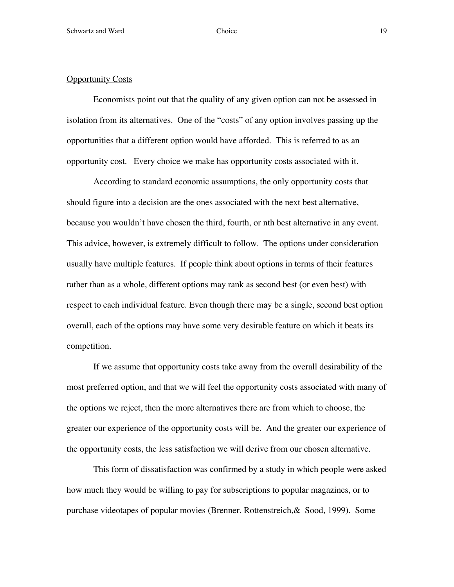# **Opportunity Costs**

Economists point out that the quality of any given option can not be assessed in isolation from its alternatives. One of the "costs" of any option involves passing up the opportunities that a different option would have afforded. This is referred to as an opportunity cost. Every choice we make has opportunity costs associated with it.

According to standard economic assumptions, the only opportunity costs that should figure into a decision are the ones associated with the next best alternative, because you wouldn't have chosen the third, fourth, or nth best alternative in any event. This advice, however, is extremely difficult to follow. The options under consideration usually have multiple features. If people think about options in terms of their features rather than as a whole, different options may rank as second best (or even best) with respect to each individual feature. Even though there may be a single, second best option overall, each of the options may have some very desirable feature on which it beats its competition.

If we assume that opportunity costs take away from the overall desirability of the most preferred option, and that we will feel the opportunity costs associated with many of the options we reject, then the more alternatives there are from which to choose, the greater our experience of the opportunity costs will be. And the greater our experience of the opportunity costs, the less satisfaction we will derive from our chosen alternative.

This form of dissatisfaction was confirmed by a study in which people were asked how much they would be willing to pay for subscriptions to popular magazines, or to purchase videotapes of popular movies (Brenner, Rottenstreich,& Sood, 1999). Some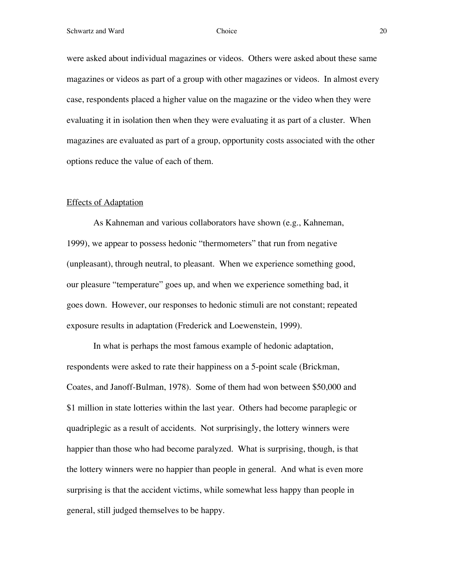were asked about individual magazines or videos. Others were asked about these same magazines or videos as part of a group with other magazines or videos. In almost every case, respondents placed a higher value on the magazine or the video when they were evaluating it in isolation then when they were evaluating it as part of a cluster. When magazines are evaluated as part of a group, opportunity costs associated with the other options reduce the value of each of them.

## Effects of Adaptation

As Kahneman and various collaborators have shown (e.g., Kahneman, 1999), we appear to possess hedonic "thermometers" that run from negative (unpleasant), through neutral, to pleasant. When we experience something good, our pleasure "temperature" goes up, and when we experience something bad, it goes down. However, our responses to hedonic stimuli are not constant; repeated exposure results in adaptation (Frederick and Loewenstein, 1999).

In what is perhaps the most famous example of hedonic adaptation, respondents were asked to rate their happiness on a 5-point scale (Brickman, Coates, and Janoff-Bulman, 1978). Some of them had won between \$50,000 and \$1 million in state lotteries within the last year. Others had become paraplegic or quadriplegic as a result of accidents. Not surprisingly, the lottery winners were happier than those who had become paralyzed. What is surprising, though, is that the lottery winners were no happier than people in general. And what is even more surprising is that the accident victims, while somewhat less happy than people in general, still judged themselves to be happy.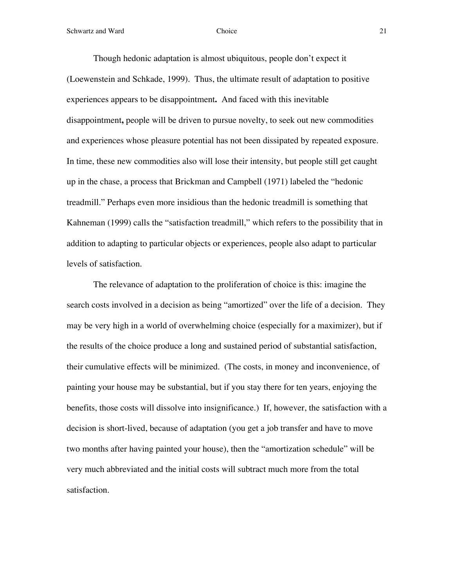Though hedonic adaptation is almost ubiquitous, people don't expect it (Loewenstein and Schkade, 1999). Thus, the ultimate result of adaptation to positive experiences appears to be disappointment**.** And faced with this inevitable disappointment**,** people will be driven to pursue novelty, to seek out new commodities and experiences whose pleasure potential has not been dissipated by repeated exposure. In time, these new commodities also will lose their intensity, but people still get caught up in the chase, a process that Brickman and Campbell (1971) labeled the "hedonic treadmill." Perhaps even more insidious than the hedonic treadmill is something that Kahneman (1999) calls the "satisfaction treadmill," which refers to the possibility that in addition to adapting to particular objects or experiences, people also adapt to particular levels of satisfaction.

The relevance of adaptation to the proliferation of choice is this: imagine the search costs involved in a decision as being "amortized" over the life of a decision. They may be very high in a world of overwhelming choice (especially for a maximizer), but if the results of the choice produce a long and sustained period of substantial satisfaction, their cumulative effects will be minimized. (The costs, in money and inconvenience, of painting your house may be substantial, but if you stay there for ten years, enjoying the benefits, those costs will dissolve into insignificance.) If, however, the satisfaction with a decision is short-lived, because of adaptation (you get a job transfer and have to move two months after having painted your house), then the "amortization schedule" will be very much abbreviated and the initial costs will subtract much more from the total satisfaction.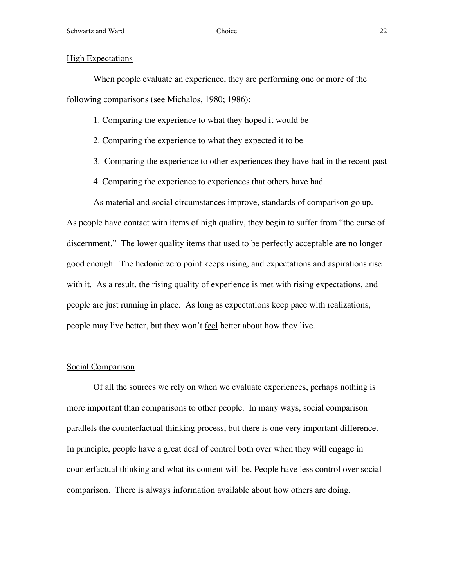## High Expectations

When people evaluate an experience, they are performing one or more of the following comparisons (see Michalos, 1980; 1986):

- 1. Comparing the experience to what they hoped it would be
- 2. Comparing the experience to what they expected it to be
- 3. Comparing the experience to other experiences they have had in the recent past
- 4. Comparing the experience to experiences that others have had

As material and social circumstances improve, standards of comparison go up. As people have contact with items of high quality, they begin to suffer from "the curse of discernment." The lower quality items that used to be perfectly acceptable are no longer good enough. The hedonic zero point keeps rising, and expectations and aspirations rise with it. As a result, the rising quality of experience is met with rising expectations, and people are just running in place. As long as expectations keep pace with realizations, people may live better, but they won't feel better about how they live.

### Social Comparison

Of all the sources we rely on when we evaluate experiences, perhaps nothing is more important than comparisons to other people. In many ways, social comparison parallels the counterfactual thinking process, but there is one very important difference. In principle, people have a great deal of control both over when they will engage in counterfactual thinking and what its content will be. People have less control over social comparison. There is always information available about how others are doing.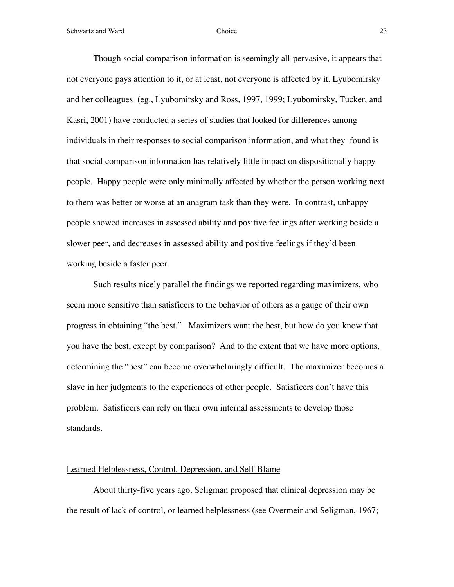Though social comparison information is seemingly all-pervasive, it appears that not everyone pays attention to it, or at least, not everyone is affected by it. Lyubomirsky and her colleagues (eg., Lyubomirsky and Ross, 1997, 1999; Lyubomirsky, Tucker, and Kasri, 2001) have conducted a series of studies that looked for differences among individuals in their responses to social comparison information, and what they found is that social comparison information has relatively little impact on dispositionally happy people. Happy people were only minimally affected by whether the person working next to them was better or worse at an anagram task than they were. In contrast, unhappy people showed increases in assessed ability and positive feelings after working beside a slower peer, and decreases in assessed ability and positive feelings if they'd been working beside a faster peer.

Such results nicely parallel the findings we reported regarding maximizers, who seem more sensitive than satisficers to the behavior of others as a gauge of their own progress in obtaining "the best."Maximizers want the best, but how do you know that you have the best, except by comparison? And to the extent that we have more options, determining the "best" can become overwhelmingly difficult. The maximizer becomes a slave in her judgments to the experiences of other people. Satisficers don't have this problem. Satisficers can rely on their own internal assessments to develop those standards.

# Learned Helplessness, Control, Depression, and Self-Blame

About thirty-five years ago, Seligman proposed that clinical depression may be the result of lack of control, or learned helplessness (see Overmeir and Seligman, 1967;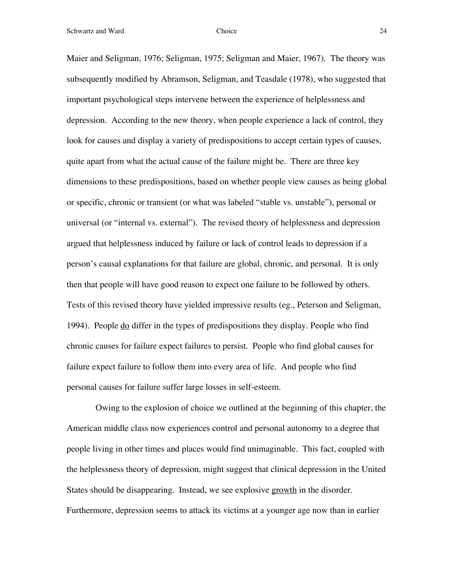Schwartz and Ward 24

Maier and Seligman, 1976; Seligman, 1975; Seligman and Maier, 1967). The theory was subsequently modified by Abramson, Seligman, and Teasdale (1978), who suggested that important psychological steps intervene between the experience of helplessness and depression. According to the new theory, when people experience a lack of control, they look for causes and display a variety of predispositions to accept certain types of causes, quite apart from what the actual cause of the failure might be. There are three key dimensions to these predispositions, based on whether people view causes as being global or specific, chronic or transient (or what was labeled "stable vs. unstable"), personal or universal (or "internal vs. external"). The revised theory of helplessness and depression argued that helplessness induced by failure or lack of control leads to depression if a person's causal explanations for that failure are global, chronic, and personal. It is only then that people will have good reason to expect one failure to be followed by others. Tests of this revised theory have yielded impressive results (eg., Peterson and Seligman, 1994). People do differ in the types of predispositions they display. People who find chronic causes for failure expect failures to persist. People who find global causes for failure expect failure to follow them into every area of life. And people who find personal causes for failure suffer large losses in self-esteem.

 Owing to the explosion of choice we outlined at the beginning of this chapter, the American middle class now experiences control and personal autonomy to a degree that people living in other times and places would find unimaginable. This fact, coupled with the helplessness theory of depression, might suggest that clinical depression in the United States should be disappearing. Instead, we see explosive growth in the disorder. Furthermore, depression seems to attack its victims at a younger age now than in earlier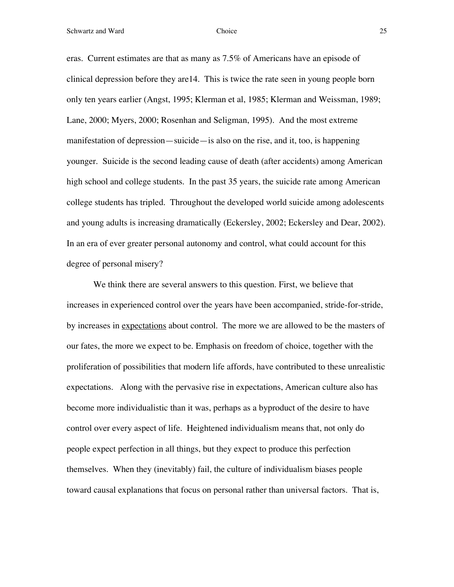Schwartz and Ward 25

eras. Current estimates are that as many as 7.5% of Americans have an episode of clinical depression before they are14. This is twice the rate seen in young people born only ten years earlier (Angst, 1995; Klerman et al, 1985; Klerman and Weissman, 1989; Lane, 2000; Myers, 2000; Rosenhan and Seligman, 1995). And the most extreme manifestation of depression—suicide—is also on the rise, and it, too, is happening younger. Suicide is the second leading cause of death (after accidents) among American high school and college students. In the past 35 years, the suicide rate among American college students has tripled. Throughout the developed world suicide among adolescents and young adults is increasing dramatically (Eckersley, 2002; Eckersley and Dear, 2002). In an era of ever greater personal autonomy and control, what could account for this degree of personal misery?

We think there are several answers to this question. First, we believe that increases in experienced control over the years have been accompanied, stride-for-stride, by increases in expectations about control. The more we are allowed to be the masters of our fates, the more we expect to be. Emphasis on freedom of choice, together with the proliferation of possibilities that modern life affords, have contributed to these unrealistic expectations. Along with the pervasive rise in expectations, American culture also has become more individualistic than it was, perhaps as a byproduct of the desire to have control over every aspect of life. Heightened individualism means that, not only do people expect perfection in all things, but they expect to produce this perfection themselves. When they (inevitably) fail, the culture of individualism biases people toward causal explanations that focus on personal rather than universal factors. That is,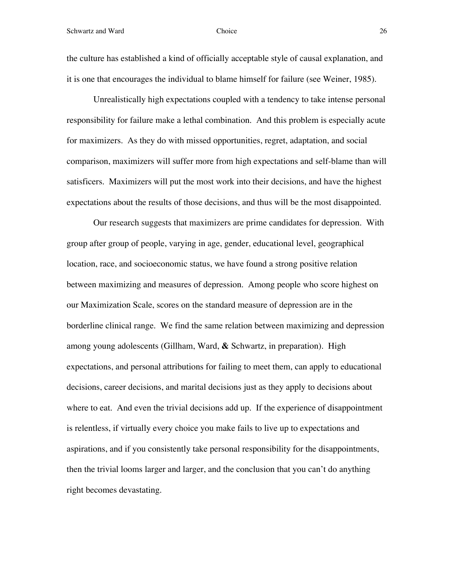the culture has established a kind of officially acceptable style of causal explanation, and it is one that encourages the individual to blame himself for failure (see Weiner, 1985).

Unrealistically high expectations coupled with a tendency to take intense personal responsibility for failure make a lethal combination. And this problem is especially acute for maximizers. As they do with missed opportunities, regret, adaptation, and social comparison, maximizers will suffer more from high expectations and self-blame than will satisficers. Maximizers will put the most work into their decisions, and have the highest expectations about the results of those decisions, and thus will be the most disappointed.

Our research suggests that maximizers are prime candidates for depression. With group after group of people, varying in age, gender, educational level, geographical location, race, and socioeconomic status, we have found a strong positive relation between maximizing and measures of depression. Among people who score highest on our Maximization Scale, scores on the standard measure of depression are in the borderline clinical range. We find the same relation between maximizing and depression among young adolescents (Gillham, Ward, **&** Schwartz, in preparation). High expectations, and personal attributions for failing to meet them, can apply to educational decisions, career decisions, and marital decisions just as they apply to decisions about where to eat. And even the trivial decisions add up. If the experience of disappointment is relentless, if virtually every choice you make fails to live up to expectations and aspirations, and if you consistently take personal responsibility for the disappointments, then the trivial looms larger and larger, and the conclusion that you can't do anything right becomes devastating.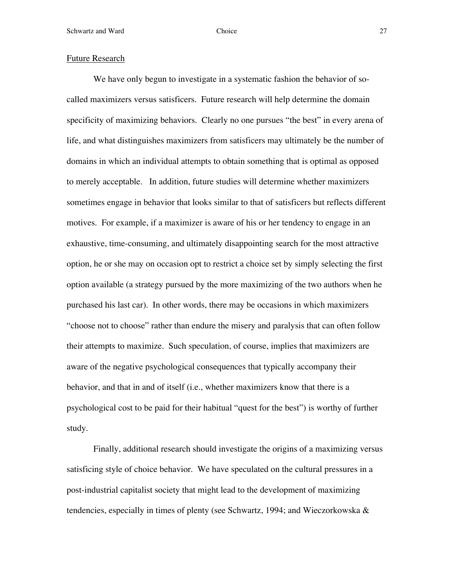## Future Research

We have only begun to investigate in a systematic fashion the behavior of socalled maximizers versus satisficers. Future research will help determine the domain specificity of maximizing behaviors. Clearly no one pursues "the best" in every arena of life, and what distinguishes maximizers from satisficers may ultimately be the number of domains in which an individual attempts to obtain something that is optimal as opposed to merely acceptable. In addition, future studies will determine whether maximizers sometimes engage in behavior that looks similar to that of satisficers but reflects different motives. For example, if a maximizer is aware of his or her tendency to engage in an exhaustive, time-consuming, and ultimately disappointing search for the most attractive option, he or she may on occasion opt to restrict a choice set by simply selecting the first option available (a strategy pursued by the more maximizing of the two authors when he purchased his last car). In other words, there may be occasions in which maximizers "choose not to choose" rather than endure the misery and paralysis that can often follow their attempts to maximize. Such speculation, of course, implies that maximizers are aware of the negative psychological consequences that typically accompany their behavior, and that in and of itself (i.e., whether maximizers know that there is a psychological cost to be paid for their habitual "quest for the best") is worthy of further study.

Finally, additional research should investigate the origins of a maximizing versus satisficing style of choice behavior. We have speculated on the cultural pressures in a post-industrial capitalist society that might lead to the development of maximizing tendencies, especially in times of plenty (see Schwartz, 1994; and Wieczorkowska  $\&$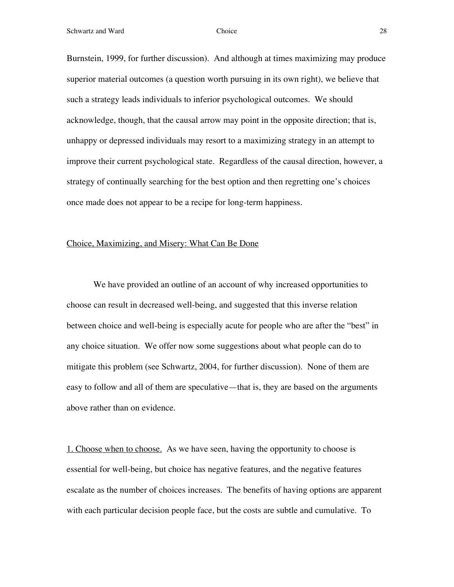Burnstein, 1999, for further discussion). And although at times maximizing may produce superior material outcomes (a question worth pursuing in its own right), we believe that such a strategy leads individuals to inferior psychological outcomes. We should acknowledge, though, that the causal arrow may point in the opposite direction; that is, unhappy or depressed individuals may resort to a maximizing strategy in an attempt to improve their current psychological state. Regardless of the causal direction, however, a strategy of continually searching for the best option and then regretting one's choices once made does not appear to be a recipe for long-term happiness.

# Choice, Maximizing, and Misery: What Can Be Done

We have provided an outline of an account of why increased opportunities to choose can result in decreased well-being, and suggested that this inverse relation between choice and well-being is especially acute for people who are after the "best" in any choice situation. We offer now some suggestions about what people can do to mitigate this problem (see Schwartz, 2004, for further discussion). None of them are easy to follow and all of them are speculative—that is, they are based on the arguments above rather than on evidence.

1. Choose when to choose. As we have seen, having the opportunity to choose is essential for well-being, but choice has negative features, and the negative features escalate as the number of choices increases. The benefits of having options are apparent with each particular decision people face, but the costs are subtle and cumulative. To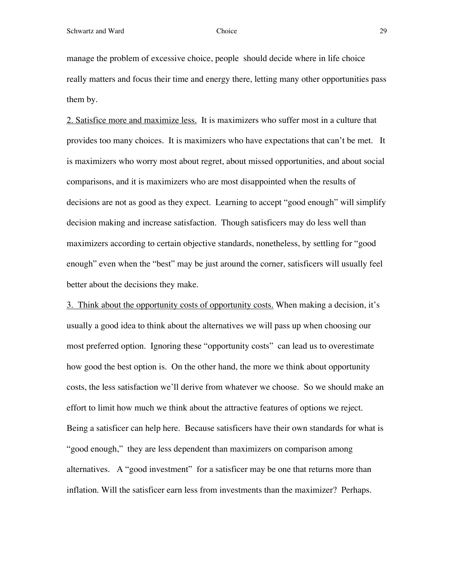manage the problem of excessive choice, people should decide where in life choice really matters and focus their time and energy there, letting many other opportunities pass them by.

2. Satisfice more and maximize less. It is maximizers who suffer most in a culture that provides too many choices. It is maximizers who have expectations that can't be met. It is maximizers who worry most about regret, about missed opportunities, and about social comparisons, and it is maximizers who are most disappointed when the results of decisions are not as good as they expect. Learning to accept "good enough" will simplify decision making and increase satisfaction. Though satisficers may do less well than maximizers according to certain objective standards, nonetheless, by settling for "good enough" even when the "best" may be just around the corner, satisficers will usually feel better about the decisions they make.

3. Think about the opportunity costs of opportunity costs. When making a decision, it's usually a good idea to think about the alternatives we will pass up when choosing our most preferred option. Ignoring these "opportunity costs" can lead us to overestimate how good the best option is. On the other hand, the more we think about opportunity costs, the less satisfaction we'll derive from whatever we choose. So we should make an effort to limit how much we think about the attractive features of options we reject. Being a satisficer can help here. Because satisficers have their own standards for what is "good enough," they are less dependent than maximizers on comparison among alternatives. A "good investment" for a satisficer may be one that returns more than inflation. Will the satisficer earn less from investments than the maximizer? Perhaps.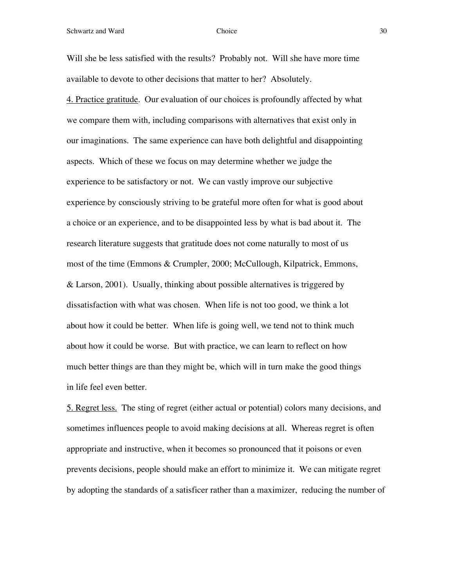Schwartz and Ward 30

Will she be less satisfied with the results? Probably not. Will she have more time available to devote to other decisions that matter to her? Absolutely.

4. Practice gratitude. Our evaluation of our choices is profoundly affected by what we compare them with, including comparisons with alternatives that exist only in our imaginations. The same experience can have both delightful and disappointing aspects. Which of these we focus on may determine whether we judge the experience to be satisfactory or not. We can vastly improve our subjective experience by consciously striving to be grateful more often for what is good about a choice or an experience, and to be disappointed less by what is bad about it. The research literature suggests that gratitude does not come naturally to most of us most of the time (Emmons & Crumpler, 2000; McCullough, Kilpatrick, Emmons, & Larson, 2001). Usually, thinking about possible alternatives is triggered by dissatisfaction with what was chosen. When life is not too good, we think a lot about how it could be better. When life is going well, we tend not to think much about how it could be worse. But with practice, we can learn to reflect on how much better things are than they might be, which will in turn make the good things in life feel even better.

5. Regret less. The sting of regret (either actual or potential) colors many decisions, and sometimes influences people to avoid making decisions at all. Whereas regret is often appropriate and instructive, when it becomes so pronounced that it poisons or even prevents decisions, people should make an effort to minimize it. We can mitigate regret by adopting the standards of a satisficer rather than a maximizer, reducing the number of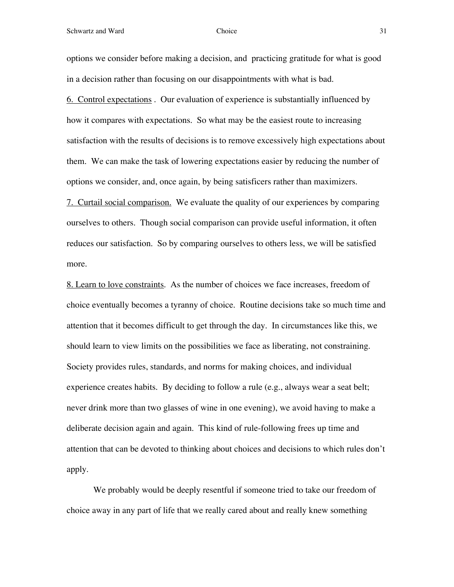Schwartz and Ward **Schwartz and Ward Choice 31** 

options we consider before making a decision, and practicing gratitude for what is good in a decision rather than focusing on our disappointments with what is bad. 6. Control expectations . Our evaluation of experience is substantially influenced by how it compares with expectations. So what may be the easiest route to increasing satisfaction with the results of decisions is to remove excessively high expectations about them. We can make the task of lowering expectations easier by reducing the number of options we consider, and, once again, by being satisficers rather than maximizers. 7. Curtail social comparison. We evaluate the quality of our experiences by comparing ourselves to others. Though social comparison can provide useful information, it often reduces our satisfaction. So by comparing ourselves to others less, we will be satisfied more.

8. Learn to love constraints. As the number of choices we face increases, freedom of choice eventually becomes a tyranny of choice. Routine decisions take so much time and attention that it becomes difficult to get through the day. In circumstances like this, we should learn to view limits on the possibilities we face as liberating, not constraining. Society provides rules, standards, and norms for making choices, and individual experience creates habits. By deciding to follow a rule (e.g., always wear a seat belt; never drink more than two glasses of wine in one evening), we avoid having to make a deliberate decision again and again. This kind of rule-following frees up time and attention that can be devoted to thinking about choices and decisions to which rules don't apply.

We probably would be deeply resentful if someone tried to take our freedom of choice away in any part of life that we really cared about and really knew something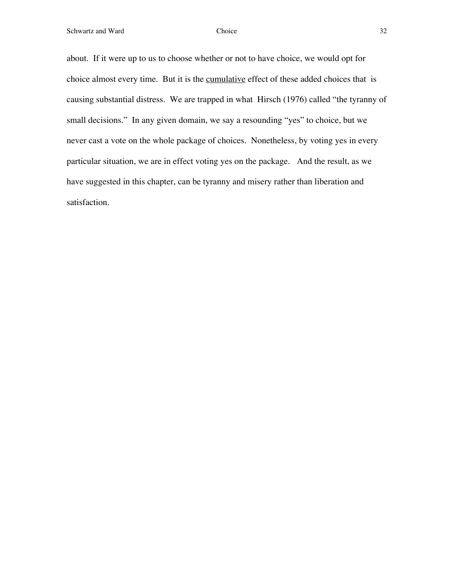Schwartz and Ward **Choice** 32

about. If it were up to us to choose whether or not to have choice, we would opt for choice almost every time. But it is the cumulative effect of these added choices that is causing substantial distress. We are trapped in what Hirsch (1976) called "the tyranny of small decisions." In any given domain, we say a resounding "yes" to choice, but we never cast a vote on the whole package of choices. Nonetheless, by voting yes in every particular situation, we are in effect voting yes on the package. And the result, as we have suggested in this chapter, can be tyranny and misery rather than liberation and satisfaction.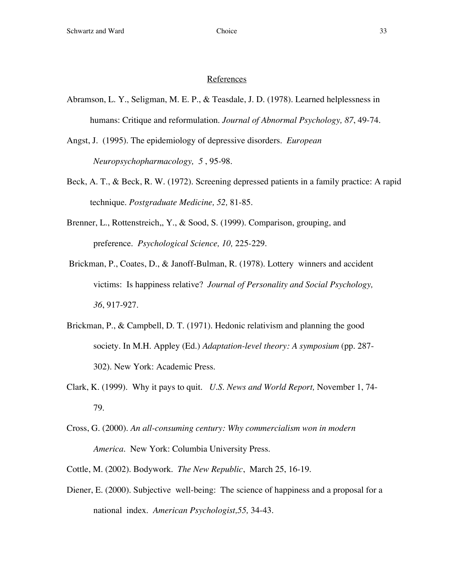### References

- Abramson, L. Y., Seligman, M. E. P., & Teasdale, J. D. (1978). Learned helplessness in humans: Critique and reformulation. *Journal of Abnormal Psychology, 87*, 49-74.
- Angst, J. (1995). The epidemiology of depressive disorders.! *European Neuropsychopharmacology, 5* , 95-98.
- Beck, A. T., & Beck, R. W. (1972). Screening depressed patients in a family practice: A rapid technique. *Postgraduate Medicine, 52,* 81-85.
- Brenner, L., Rottenstreich,, Y., & Sood, S. (1999). Comparison, grouping, and preference. *Psychological Science, 10,* 225-229.
- Brickman, P., Coates, D., & Janoff-Bulman, R. (1978). Lottery winners and accident victims: Is happiness relative? *Journal of Personality and Social Psychology, 36*, 917-927.
- Brickman, P., & Campbell, D. T. (1971). Hedonic relativism and planning the good society. In M.H. Appley (Ed.) *Adaptation-level theory: A symposium* (pp. 287- 302). New York: Academic Press.
- Clark, K. (1999). Why it pays to quit. *U.S. News and World Report,* November 1, 74- 79.
- Cross, G. (2000). *An all-consuming century: Why commercialism won in modern America.* New York: Columbia University Press.
- Cottle, M. (2002). Bodywork. *The New Republic*, March 25, 16-19.
- Diener, E. (2000). Subjective well-being: The science of happiness and a proposal for a national index. *American Psychologist,55,* 34-43.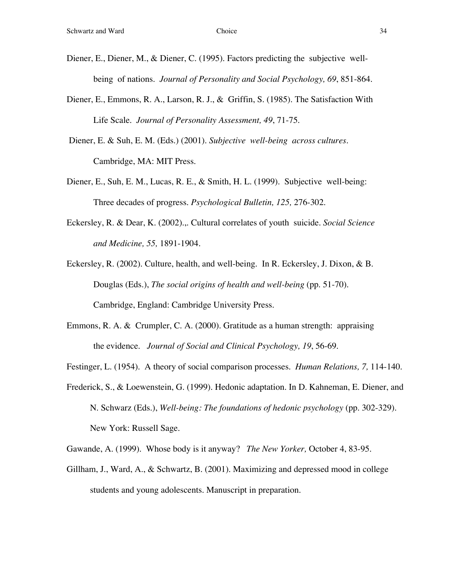- Diener, E., Diener, M., & Diener, C. (1995). Factors predicting the subjective wellbeing of nations. *Journal of Personality and Social Psychology, 69*, 851-864.
- Diener, E., Emmons, R. A., Larson, R. J., & Griffin, S. (1985). The Satisfaction With Life Scale. *Journal of Personality Assessment, 49*, 71-75.
- Diener, E. & Suh, E. M. (Eds.) (2001). *Subjective well-being across cultures.* Cambridge, MA: MIT Press.
- Diener, E., Suh, E. M., Lucas, R. E., & Smith, H. L. (1999). Subjective well-being: Three decades of progress. *Psychological Bulletin, 125,* 276-302.
- Eckersley, R. & Dear, K. (2002).,. Cultural correlates of youth suicide. *Social Science and Medicine, 55,* 1891-1904*.*
- Eckersley, R. (2002). Culture, health, and well-being. In R. Eckersley, J. Dixon, & B. Douglas (Eds.), *The social origins of health and well-being* (pp. 51-70). Cambridge, England: Cambridge University Press.
- Emmons, R. A. & Crumpler, C. A. (2000). Gratitude as a human strength: appraising the evidence. *Journal of Social and Clinical Psychology, 19*, 56-69.
- Festinger, L. (1954). A theory of social comparison processes. *Human Relations, 7,* 114-140.
- Frederick, S., & Loewenstein, G. (1999). Hedonic adaptation. In D. Kahneman, E. Diener, and N. Schwarz (Eds.), *Well-being: The foundations of hedonic psychology* (pp. 302-329). New York: Russell Sage.
- Gawande, A. (1999). Whose body is it anyway? *The New Yorker,* October 4, 83-95.
- Gillham, J., Ward, A., & Schwartz, B. (2001). Maximizing and depressed mood in college students and young adolescents. Manuscript in preparation.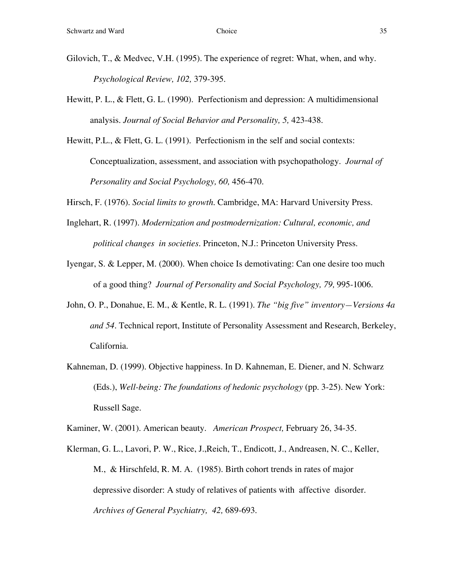- Gilovich, T., & Medvec, V.H. (1995). The experience of regret: What, when, and why. *Psychological Review, 102,* 379-395.
- Hewitt, P. L., & Flett, G. L. (1990). Perfectionism and depression: A multidimensional analysis. *Journal of Social Behavior and Personality, 5,* 423-438.
- Hewitt, P.L., & Flett, G. L. (1991). Perfectionism in the self and social contexts: Conceptualization, assessment, and association with psychopathology. *Journal of Personality and Social Psychology, 60,* 456-470.
- Hirsch, F. (1976). *Social limits to growth*. Cambridge, MA: Harvard University Press.
- Inglehart, R. (1997). *Modernization and postmodernization: Cultural, economic, and political changes in societies*. Princeton, N.J.: Princeton University Press.
- Iyengar, S. & Lepper, M. (2000). When choice Is demotivating: Can one desire too much of a good thing? *Journal of Personality and Social Psychology, 79,* 995-1006.
- John, O. P., Donahue, E. M., & Kentle, R. L. (1991). *The "big five" inventory—Versions 4a and 54*. Technical report, Institute of Personality Assessment and Research, Berkeley, California.
- Kahneman, D. (1999). Objective happiness. In D. Kahneman, E. Diener, and N. Schwarz (Eds.), *Well-being: The foundations of hedonic psychology* (pp. 3-25). New York: Russell Sage.

Kaminer, W. (2001). American beauty. *American Prospect,* February 26, 34-35.

Klerman, G. L., Lavori, P. W., Rice, J.,Reich, T., Endicott, J., Andreasen, N. C., Keller, M., & Hirschfeld, R. M. A. (1985). Birth cohort trends in rates of major depressive disorder: A study of relatives of patients with affective disorder.! *Archives of General Psychiatry, 42,* 689-693.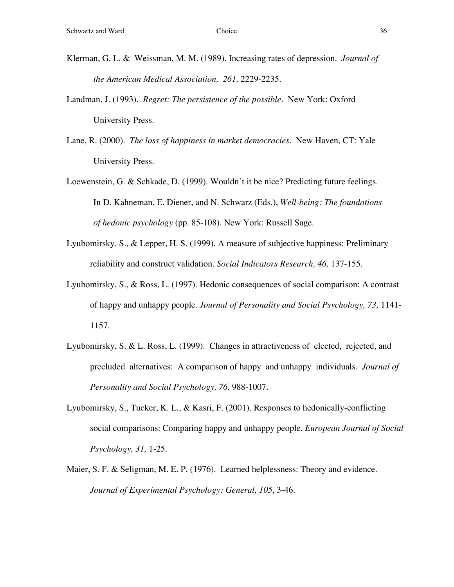- Klerman, G. L. & Weissman, M. M. (1989). Increasing rates of depression. *Journal of the American Medical Association, 261,* 2229-2235.
- Landman, J. (1993). *Regret: The persistence of the possible.* New York: Oxford University Press.
- Lane, R. (2000). *The loss of happiness in market democracies.* New Haven, CT: Yale University Press.
- Loewenstein, G. & Schkade, D. (1999). Wouldn't it be nice? Predicting future feelings. In D. Kahneman, E. Diener, and N. Schwarz (Eds.), *Well-being: The foundations of hedonic psychology* (pp. 85-108). New York: Russell Sage.
- Lyubomirsky, S., & Lepper, H. S. (1999). A measure of subjective happiness: Preliminary reliability and construct validation. *Social Indicators Research, 46,* 137-155.
- Lyubomirsky, S., & Ross, L. (1997). Hedonic consequences of social comparison: A contrast of happy and unhappy people. *Journal of Personality and Social Psychology, 73,* 1141- 1157.
- Lyubomirsky, S. & L. Ross, L. (1999). Changes in attractiveness of elected, rejected, and precluded alternatives: A comparison of happy and unhappy individuals. *Journal of Personality and Social Psychology, 76*, 988-1007.
- Lyubomirsky, S., Tucker, K. L., & Kasri, F. (2001). Responses to hedonically-conflicting social comparisons: Comparing happy and unhappy people. *European Journal of Social Psychology, 31,* 1-25.
- Maier, S. F. & Seligman, M. E. P. (1976). Learned helplessness: Theory and evidence. *Journal of Experimental Psychology: General, 105*, 3-46.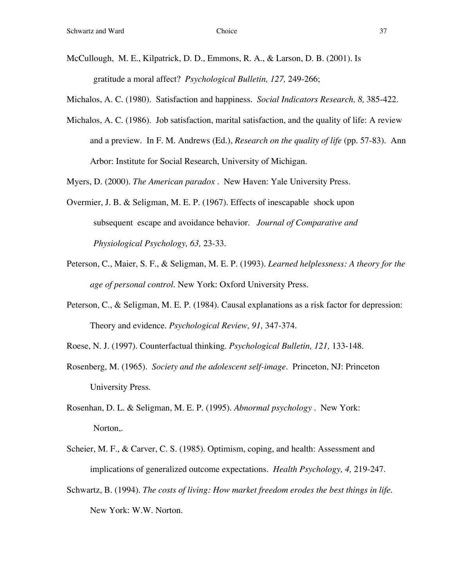- McCullough, M. E., Kilpatrick, D. D., Emmons, R. A., & Larson, D. B. (2001). Is gratitude a moral affect? *Psychological Bulletin, 127,* 249-266;
- Michalos, A. C. (1980). Satisfaction and happiness. *Social Indicators Research, 8,* 385-422.
- Michalos, A. C. (1986). Job satisfaction, marital satisfaction, and the quality of life: A review and a preview. In F. M. Andrews (Ed.), *Research on the quality of life* (pp. 57-83). Ann Arbor: Institute for Social Research, University of Michigan.
- Myers, D. (2000). *The American paradox .* New Haven: Yale University Press.
- Overmier, J. B. & Seligman, M. E. P. (1967). Effects of inescapable shock upon subsequent escape and avoidance behavior. *Journal of Comparative and Physiological Psychology, 63,* 23-33.
- Peterson, C., Maier, S. F., & Seligman, M. E. P. (1993). *Learned helplessness: A theory for the age of personal control*. New York: Oxford University Press.
- Peterson, C., & Seligman, M. E. P. (1984). Causal explanations as a risk factor for depression: Theory and evidence. *Psychological Review, 91,* 347-374.
- Roese, N. J. (1997). Counterfactual thinking. *Psychological Bulletin, 121,* 133-148.
- Rosenberg, M. (1965). *Society and the adolescent self-image*. Princeton, NJ: Princeton University Press.
- Rosenhan, D. L. & Seligman, M. E. P. (1995). *Abnormal psychology .* New York: Norton,.
- Scheier, M. F., & Carver, C. S. (1985). Optimism, coping, and health: Assessment and implications of generalized outcome expectations. *Health Psychology, 4,* 219-247.
- Schwartz, B. (1994). *The costs of living: How market freedom erodes the best things in life*. New York: W.W. Norton.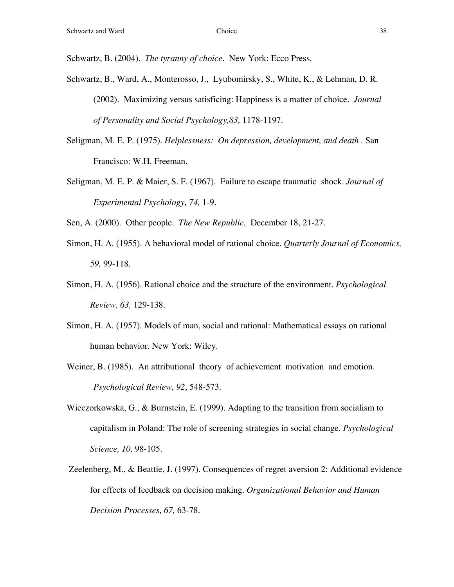Schwartz, B. (2004). *The tyranny of choice.* New York: Ecco Press.

- Schwartz, B., Ward, A., Monterosso, J., Lyubomirsky, S., White, K., & Lehman, D. R. (2002). Maximizing versus satisficing: Happiness is a matter of choice. *Journal of Personality and Social Psychology,83,* 1178-1197.
- Seligman, M. E. P. (1975). *Helplessness: On depression, development, and death* . San Francisco: W.H. Freeman.
- Seligman, M. E. P. & Maier, S. F. (1967). Failure to escape traumatic shock. *Journal of Experimental Psychology, 74,* 1-9.
- Sen, A. (2000). Other people. *The New Republic,* December 18, 21-27.
- Simon, H. A. (1955). A behavioral model of rational choice. *Quarterly Journal of Economics, 59,* 99-118.
- Simon, H. A. (1956). Rational choice and the structure of the environment. *Psychological Review, 63,* 129-138.
- Simon, H. A. (1957). Models of man, social and rational: Mathematical essays on rational human behavior. New York: Wiley.
- Weiner, B. (1985). An attributional theory of achievement motivation and emotion. *Psychological Review, 92*, 548-573.
- Wieczorkowska, G., & Burnstein, E. (1999). Adapting to the transition from socialism to capitalism in Poland: The role of screening strategies in social change. *Psychological Science, 10,* 98-105.
- Zeelenberg, M., & Beattie, J. (1997). Consequences of regret aversion 2: Additional evidence for effects of feedback on decision making. *Organizational Behavior and Human Decision Processes, 67,* 63-78.